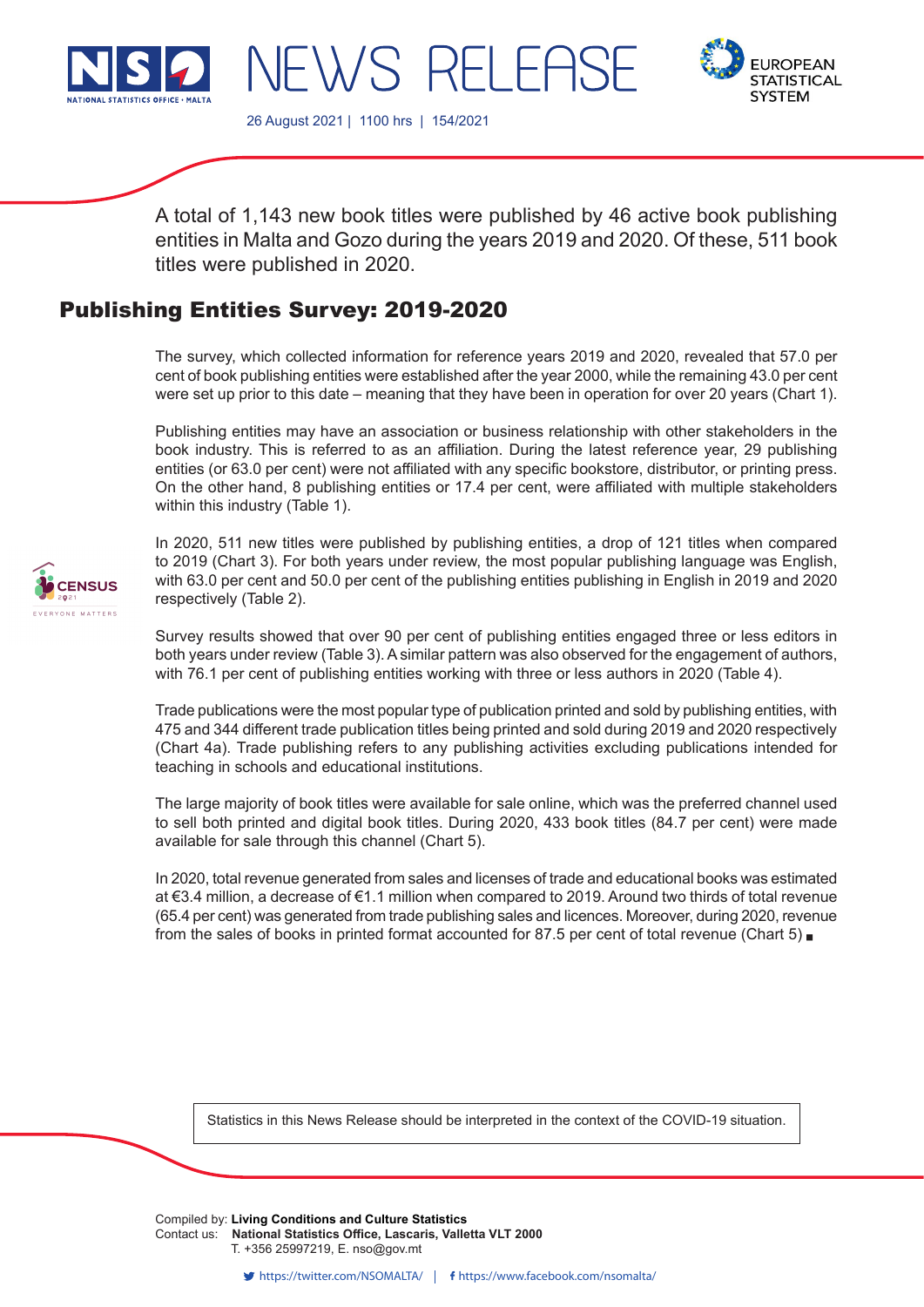



26 August 2021 | 1100 hrs | 154/2021

 $H\backslash\lambda/S$  F

A total of 1,143 new book titles were published by 46 active book publishing entities in Malta and Gozo during the years 2019 and 2020. Of these, 511 book titles were published in 2020.

RH FASE

# Publishing Entities Survey: 2019-2020

The survey, which collected information for reference years 2019 and 2020, revealed that 57.0 per cent of book publishing entities were established after the year 2000, while the remaining 43.0 per cent were set up prior to this date – meaning that they have been in operation for over 20 years (Chart 1).

Publishing entities may have an association or business relationship with other stakeholders in the book industry. This is referred to as an affiliation. During the latest reference year, 29 publishing entities (or 63.0 per cent) were not affiliated with any specific bookstore, distributor, or printing press. On the other hand, 8 publishing entities or 17.4 per cent, were affiliated with multiple stakeholders within this industry (Table 1).



In 2020, 511 new titles were published by publishing entities, a drop of 121 titles when compared to 2019 (Chart 3). For both years under review, the most popular publishing language was English, with 63.0 per cent and 50.0 per cent of the publishing entities publishing in English in 2019 and 2020 respectively (Table 2).

Survey results showed that over 90 per cent of publishing entities engaged three or less editors in both years under review (Table 3). A similar pattern was also observed for the engagement of authors, with 76.1 per cent of publishing entities working with three or less authors in 2020 (Table 4).

Trade publications were the most popular type of publication printed and sold by publishing entities, with 475 and 344 different trade publication titles being printed and sold during 2019 and 2020 respectively (Chart 4a). Trade publishing refers to any publishing activities excluding publications intended for teaching in schools and educational institutions.

The large majority of book titles were available for sale online, which was the preferred channel used to sell both printed and digital book titles. During 2020, 433 book titles (84.7 per cent) were made available for sale through this channel (Chart 5).

In 2020, total revenue generated from sales and licenses of trade and educational books was estimated at €3.4 million, a decrease of €1.1 million when compared to 2019. Around two thirds of total revenue (65.4 per cent) was generated from trade publishing sales and licences. Moreover, during 2020, revenue from the sales of books in printed format accounted for 87.5 per cent of total revenue (Chart 5)

Statistics in this News Release should be interpreted in the context of the COVID-19 situation.

Compiled by: Living Conditions and Culture Statistics T. +356 25997219, E. nso@gov.mt Contact us: **National Statistics Office, Lascaris, Valletta VLT 2000**

T. +356 2599 7219 F. +356 2599 7205 E. nso@gov.mt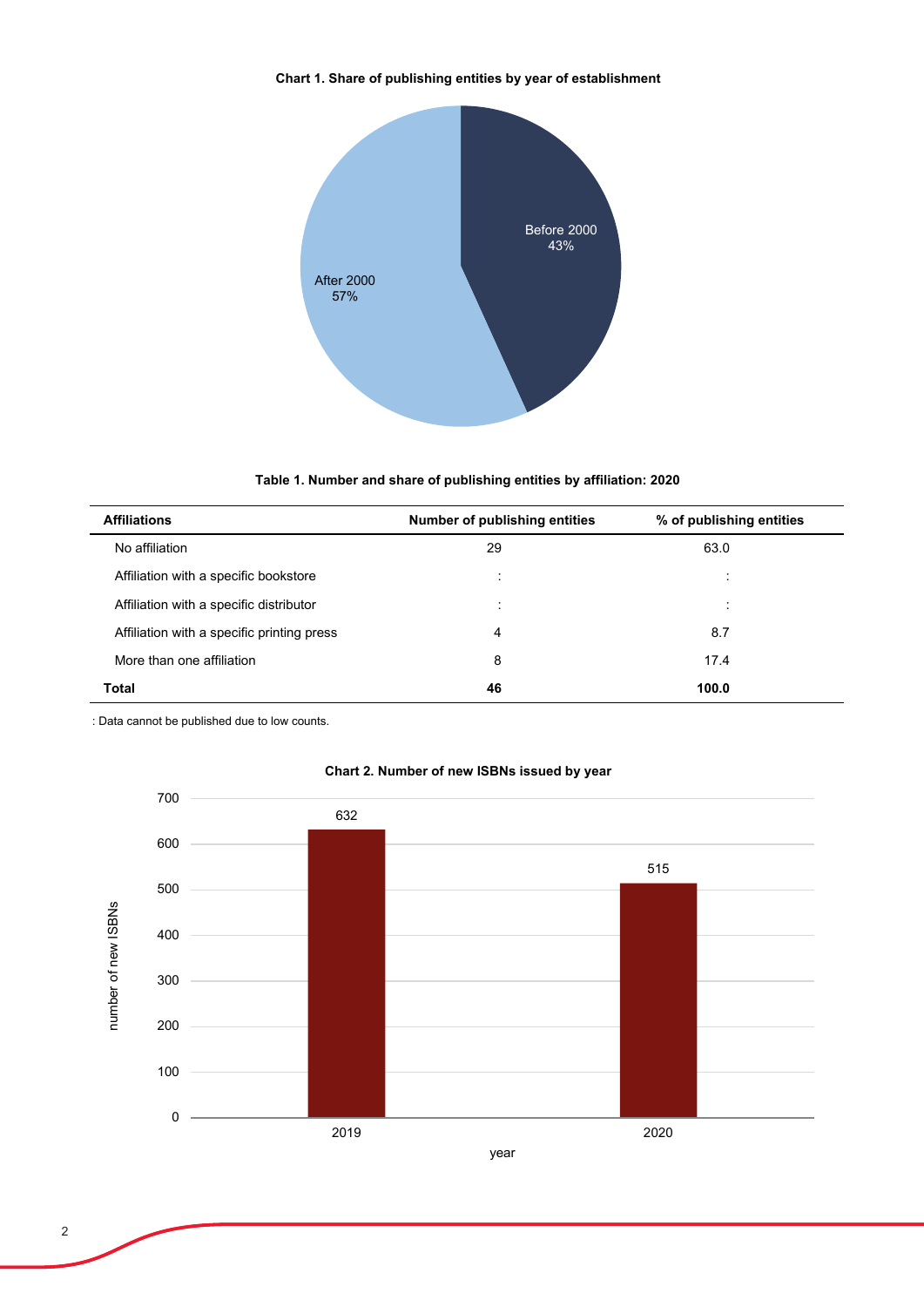## **Chart 1. Share of publishing entities by year of establishment**



## **Table 1. Number and share of publishing entities by affiliation: 2020**

| <b>Affiliations</b>                        | Number of publishing entities | % of publishing entities |  |
|--------------------------------------------|-------------------------------|--------------------------|--|
| No affiliation                             | 29                            | 63.0                     |  |
| Affiliation with a specific bookstore      | ٠<br>$\cdot$                  | $\cdot$<br>٠             |  |
| Affiliation with a specific distributor    | $\ddot{\phantom{a}}$          | ٠                        |  |
| Affiliation with a specific printing press | 4                             | 8.7                      |  |
| More than one affiliation                  | 8                             | 17.4                     |  |
| <b>Total</b>                               | 46                            | 100.0                    |  |

: Data cannot be published due to low counts.



### **Chart 2. Number of new ISBNs issued by year**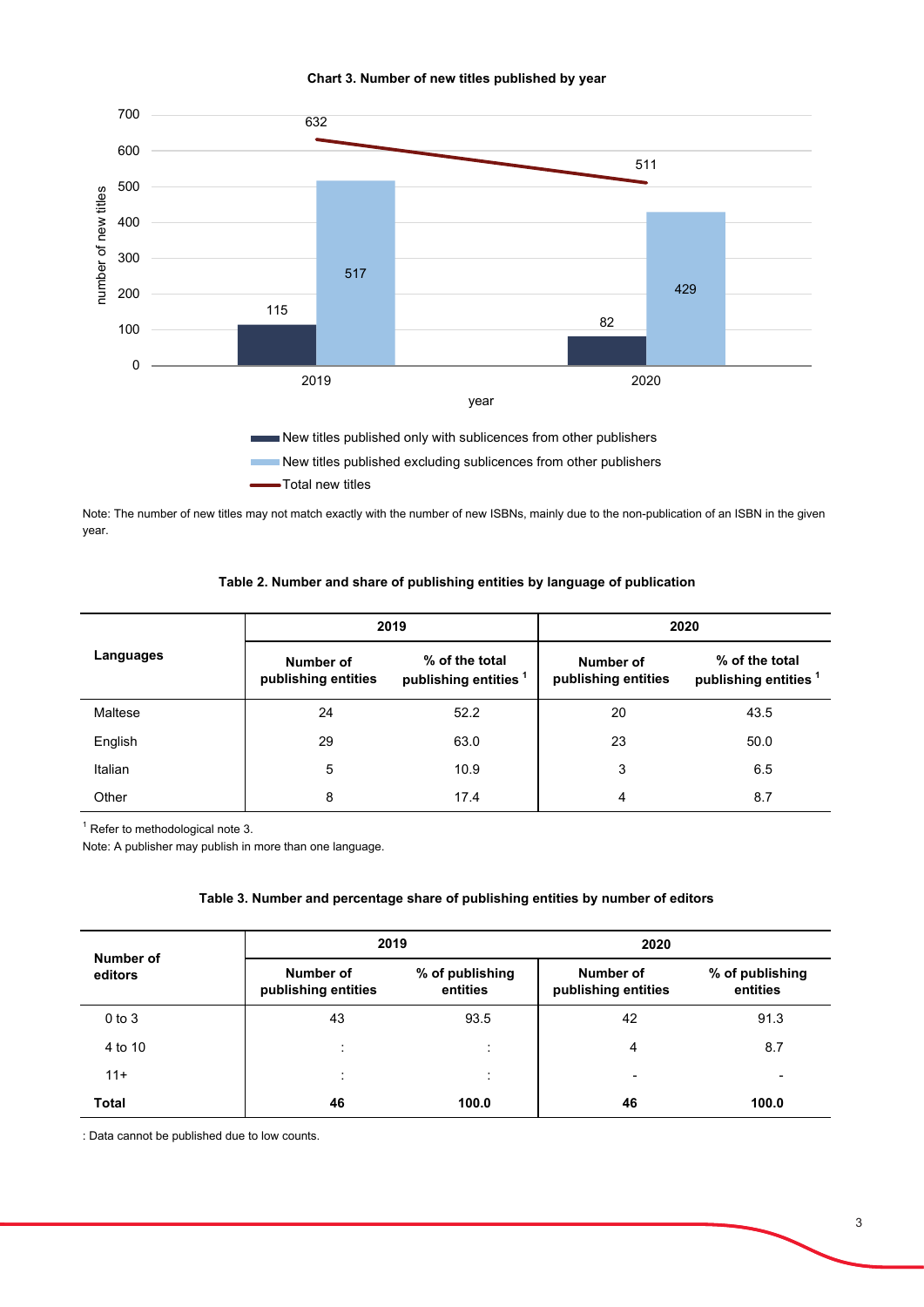

#### **Chart 3. Number of new titles published by year**

New titles published excluding sublicences from other publishers Total new titles

Note: The number of new titles may not match exactly with the number of new ISBNs, mainly due to the non-publication of an ISBN in the given year.

## **Table 2. Number and share of publishing entities by language of publication**

|           |                                  | 2019                                               | 2020                             |                                                    |  |
|-----------|----------------------------------|----------------------------------------------------|----------------------------------|----------------------------------------------------|--|
| Languages | Number of<br>publishing entities | % of the total<br>publishing entities <sup>1</sup> | Number of<br>publishing entities | % of the total<br>publishing entities <sup>1</sup> |  |
| Maltese   | 24                               | 52.2                                               | 20                               | 43.5                                               |  |
| English   | 29                               | 63.0                                               | 23                               | 50.0                                               |  |
| Italian   | 5                                | 10.9                                               | 3                                | 6.5                                                |  |
| Other     | 8                                | 17.4                                               | 4                                | 8.7                                                |  |

<sup>1</sup> Refer to methodological note 3.

Note: A publisher may publish in more than one language.

#### **Table 3. Number and percentage share of publishing entities by number of editors**

| Number of<br>editors | 2019                             |                             | 2020                             |                             |  |
|----------------------|----------------------------------|-----------------------------|----------------------------------|-----------------------------|--|
|                      | Number of<br>publishing entities | % of publishing<br>entities | Number of<br>publishing entities | % of publishing<br>entities |  |
| $0$ to $3$           | 43                               | 93.5                        | 42                               | 91.3                        |  |
| 4 to 10              | ٠<br>$\ddot{\phantom{a}}$        | $\cdot$                     | 4                                | 8.7                         |  |
| $11+$                | ٠<br>$\cdot$                     | $\cdot$                     | -                                |                             |  |
| <b>Total</b>         | 46                               | 100.0                       | 46                               | 100.0                       |  |

: Data cannot be published due to low counts.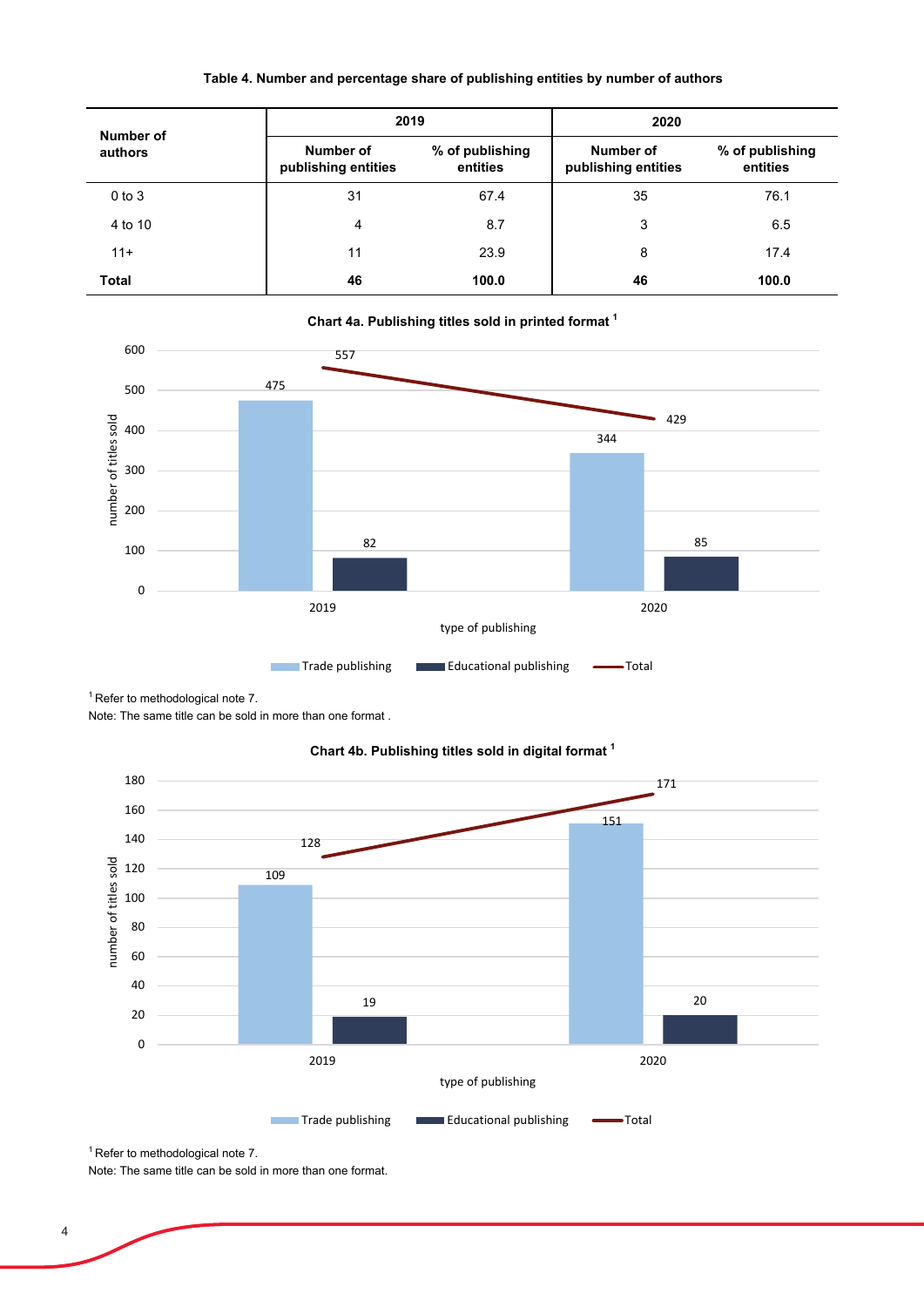## **Table 4. Number and percentage share of publishing entities by number of authors**

| Number of<br>authors | 2019                             |                             | 2020                             |                             |  |
|----------------------|----------------------------------|-----------------------------|----------------------------------|-----------------------------|--|
|                      | Number of<br>publishing entities | % of publishing<br>entities | Number of<br>publishing entities | % of publishing<br>entities |  |
| $0$ to $3$           | 31                               | 67.4                        | 35                               | 76.1                        |  |
| 4 to 10              | 4                                | 8.7                         | 3                                | 6.5                         |  |
| $11 +$               | 11                               | 23.9                        | 8                                | 17.4                        |  |
| <b>Total</b>         | 46                               | 100.0                       | 46                               | 100.0                       |  |



 $1$  Refer to methodological note 7.

Note: The same title can be sold in more than one format .



### **Chart 4b. Publishing titles sold in digital format 1**

 $1$  Refer to methodological note 7.

Note: The same title can be sold in more than one format.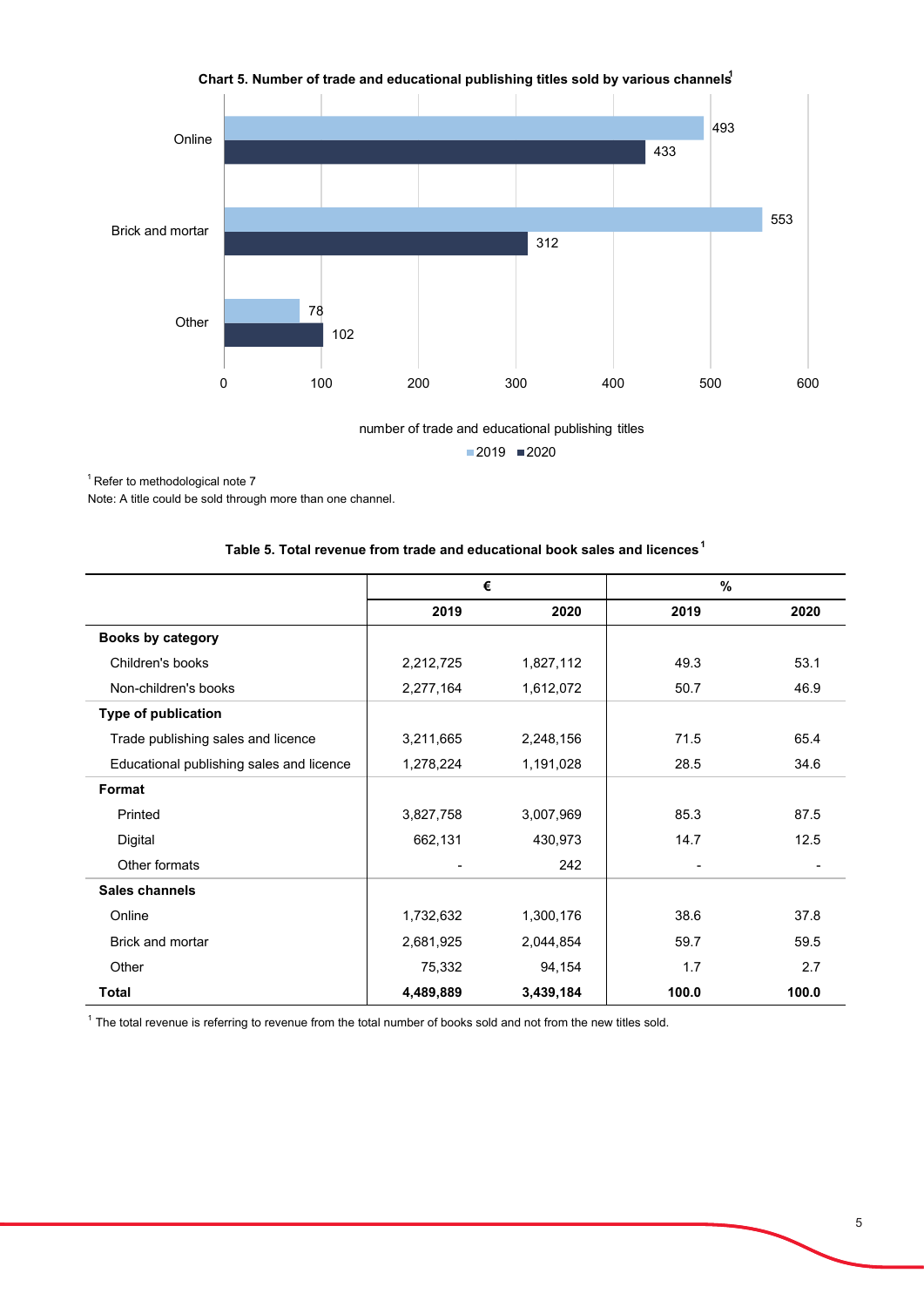

Chart 5. Number of trade and educational publishing titles sold by various channels<sup>1</sup>

number of trade and educational publishing titles  $2019$  2020

 $1$  Refer to methodological note  $7$ 

Note: A title could be sold through more than one channel.

|  |  | Table 5. Total revenue from trade and educational book sales and licences $^{\prime}$ |  |  |  |  |
|--|--|---------------------------------------------------------------------------------------|--|--|--|--|
|--|--|---------------------------------------------------------------------------------------|--|--|--|--|

|                                          | €         |           | $\%$                     |       |
|------------------------------------------|-----------|-----------|--------------------------|-------|
|                                          | 2019      | 2020      | 2019                     | 2020  |
| Books by category                        |           |           |                          |       |
| Children's books                         | 2,212,725 | 1,827,112 | 49.3                     | 53.1  |
| Non-children's books                     | 2,277,164 | 1,612,072 | 50.7                     | 46.9  |
| Type of publication                      |           |           |                          |       |
| Trade publishing sales and licence       | 3,211,665 | 2,248,156 | 71.5                     | 65.4  |
| Educational publishing sales and licence | 1,278,224 | 1,191,028 | 28.5                     | 34.6  |
| Format                                   |           |           |                          |       |
| Printed                                  | 3,827,758 | 3,007,969 | 85.3                     | 87.5  |
| Digital                                  | 662,131   | 430,973   | 14.7                     | 12.5  |
| Other formats                            | ٠         | 242       | $\overline{\phantom{a}}$ |       |
| Sales channels                           |           |           |                          |       |
| Online                                   | 1,732,632 | 1,300,176 | 38.6                     | 37.8  |
| Brick and mortar                         | 2,681,925 | 2,044,854 | 59.7                     | 59.5  |
| Other                                    | 75,332    | 94,154    | 1.7                      | 2.7   |
| <b>Total</b>                             | 4,489,889 | 3,439,184 | 100.0                    | 100.0 |

<sup>1</sup> The total revenue is referring to revenue from the total number of books sold and not from the new titles sold.